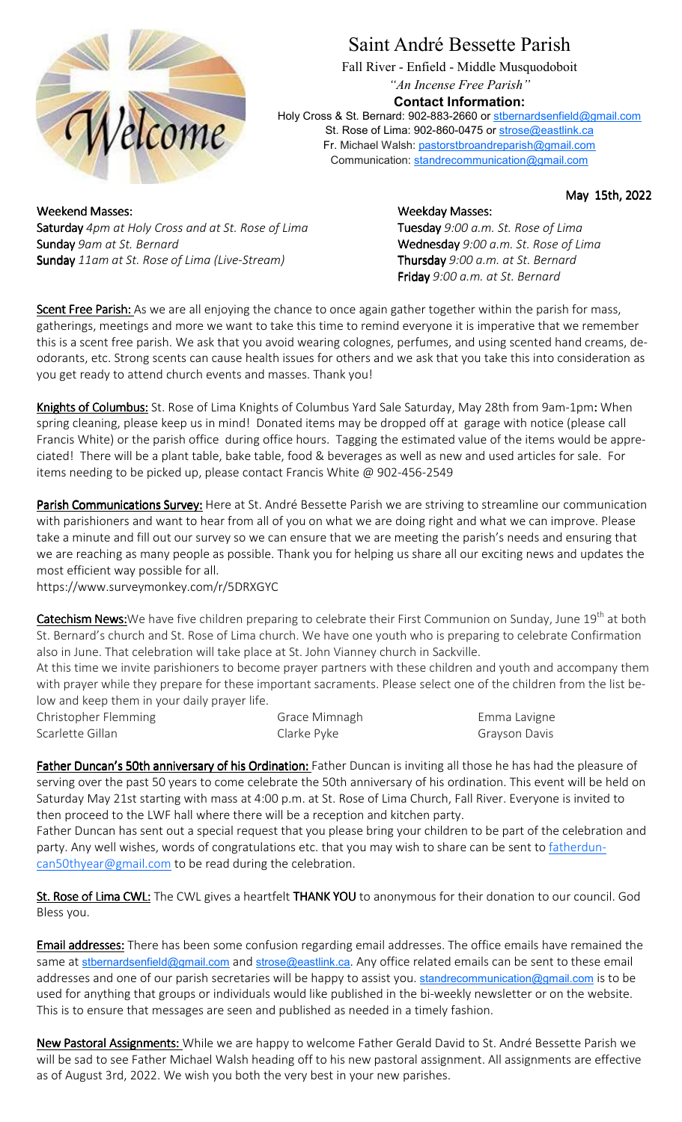

## Saint André Bessette Parish

Fall River - Enfield - Middle Musquodoboit *"An Incense Free Parish"*

## **Contact Information:**

Holy Cross & St. Bernard: 902-883-2660 or stbernardsenfield@gmail.com St. Rose of Lima: 902-860-0475 or strose@eastlink.ca Fr. Michael Walsh: pastorstbroandreparish@gmail.com Communication: standrecommunication@gmail.com

May 15th, 2022

Weekend Masses: Weekday Masses: Weekday Masses: Saturday *4pm at Holy Cross and at St. Rose of Lima* Tuesday *9:00 a.m. St. Rose of Lima*  Sunday 9am at St. Bernard **Wednesday** 9:00 a.m. St. Rose of Lima Sunday *11am at St. Rose of Lima (Live-Stream)* Thursday *9:00 a.m. at St. Bernard* 

Friday *9:00 a.m. at St. Bernard* 

Scent Free Parish: As we are all enjoying the chance to once again gather together within the parish for mass, gatherings, meetings and more we want to take this time to remind everyone it is imperative that we remember this is a scent free parish. We ask that you avoid wearing colognes, perfumes, and using scented hand creams, deodorants, etc. Strong scents can cause health issues for others and we ask that you take this into consideration as you get ready to attend church events and masses. Thank you!

Knights of Columbus: St. Rose of Lima Knights of Columbus Yard Sale Saturday, May 28th from 9am-1pm: When spring cleaning, please keep us in mind! Donated items may be dropped off at garage with notice (please call Francis White) or the parish office during office hours. Tagging the estimated value of the items would be appreciated! There will be a plant table, bake table, food & beverages as well as new and used articles for sale. For items needing to be picked up, please contact Francis White @ 902-456-2549

Parish Communications Survey: Here at St. André Bessette Parish we are striving to streamline our communication with parishioners and want to hear from all of you on what we are doing right and what we can improve. Please take a minute and fill out our survey so we can ensure that we are meeting the parish's needs and ensuring that we are reaching as many people as possible. Thank you for helping us share all our exciting news and updates the most efficient way possible for all.

https://www.surveymonkey.com/r/5DRXGYC

Catechism News: We have five children preparing to celebrate their First Communion on Sunday, June 19<sup>th</sup> at both St. Bernard's church and St. Rose of Lima church. We have one youth who is preparing to celebrate Confirmation also in June. That celebration will take place at St. John Vianney church in Sackville.

At this time we invite parishioners to become prayer partners with these children and youth and accompany them with prayer while they prepare for these important sacraments. Please select one of the children from the list below and keep them in your daily prayer life.

Christopher Flemming Grace Mimnagh Emma Lavigne Scarlette Gillan Clarke Pyke Grayson Davis

Father Duncan's 50th anniversary of his Ordination: Father Duncan is inviting all those he has had the pleasure of serving over the past 50 years to come celebrate the 50th anniversary of his ordination. This event will be held on Saturday May 21st starting with mass at 4:00 p.m. at St. Rose of Lima Church, Fall River. Everyone is invited to then proceed to the LWF hall where there will be a reception and kitchen party.

Father Duncan has sent out a special request that you please bring your children to be part of the celebration and party. Any well wishes, words of congratulations etc. that you may wish to share can be sent to fatherduncan50thyear@gmail.com to be read during the celebration.

St. Rose of Lima CWL: The CWL gives a heartfelt THANK YOU to anonymous for their donation to our council. God Bless you.

Email addresses: There has been some confusion regarding email addresses. The office emails have remained the same at stbernardsenfield@gmail.com and strose@eastlink.ca. Any office related emails can be sent to these email addresses and one of our parish secretaries will be happy to assist you. standrecommunication@gmail.com is to be used for anything that groups or individuals would like published in the bi-weekly newsletter or on the website. This is to ensure that messages are seen and published as needed in a timely fashion.

New Pastoral Assignments: While we are happy to welcome Father Gerald David to St. André Bessette Parish we will be sad to see Father Michael Walsh heading off to his new pastoral assignment. All assignments are effective as of August 3rd, 2022. We wish you both the very best in your new parishes.